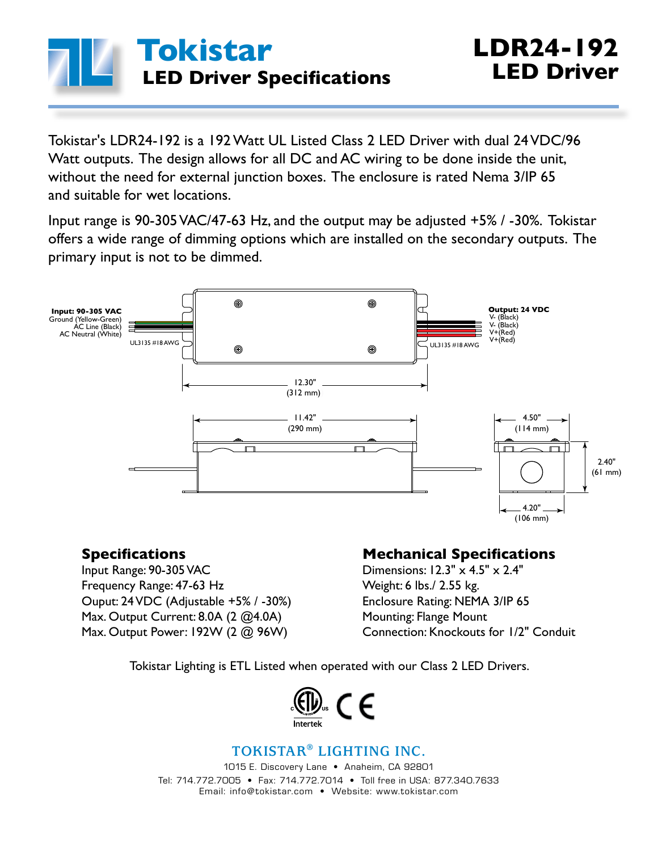

Tokistar's LDR24-192 is a 192 Watt UL Listed Class 2 LED Driver with dual 24 VDC/96 Watt outputs. The design allows for all DC and AC wiring to be done inside the unit, without the need for external junction boxes. The enclosure is rated Nema 3/IP 65 and suitable for wet locations.

Input range is 90-305 VAC/47-63 Hz, and the output may be adjusted +5% / -30%. Tokistar offers a wide range of dimming options which are installed on the secondary outputs. The primary input is not to be dimmed.



### **Specifications**

Input Range: 90-305 VAC Frequency Range: 47-63 Hz Ouput: 24 VDC (Adjustable +5% / -30%) Max. Output Current: 8.0A (2 @4.0A) Max. Output Power: 192W (2 @ 96W)

### **Mechanical Specifications**

Dimensions: 12.3" x 4.5" x 2.4" Weight: 6 lbs./ 2.55 kg. Enclosure Rating: NEMA 3/IP 65 Mounting: Flange Mount Connection: Knockouts for 1/2" Conduit

Tokistar Lighting is ETL Listed when operated with our Class 2 LED Drivers.



### **TOKISTAR® LIGHTING INC.**

1015 E. Discovery Lane • Anaheim, CA 92801 Tel: 714.772.7005 • Fax: 714.772.7014 • Toll free in USA: 877.340.7633 Email: info@tokistar.com • Website: www.tokistar.com